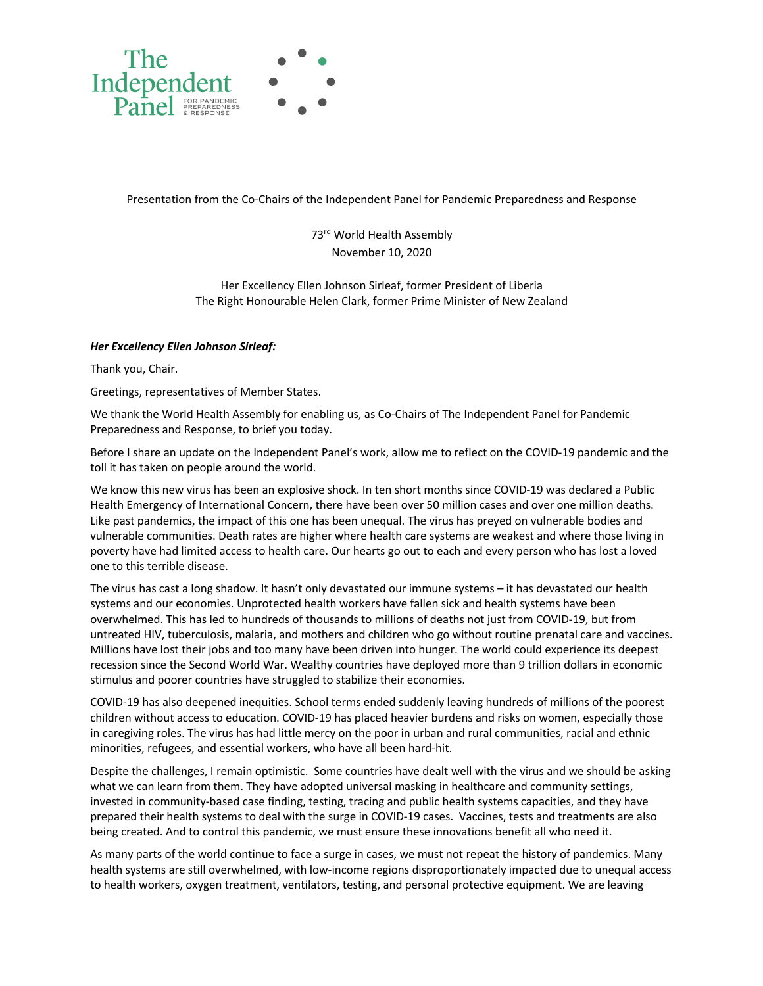

Presentation from the Co-Chairs of the Independent Panel for Pandemic Preparedness and Response

73<sup>rd</sup> World Health Assembly November 10, 2020

Her Excellency Ellen Johnson Sirleaf, former President of Liberia The Right Honourable Helen Clark, former Prime Minister of New Zealand

## *Her Excellency Ellen Johnson Sirleaf:*

Thank you, Chair.

Greetings, representatives of Member States.

We thank the World Health Assembly for enabling us, as Co-Chairs of The Independent Panel for Pandemic Preparedness and Response, to brief you today.

Before I share an update on the Independent Panel's work, allow me to reflect on the COVID-19 pandemic and the toll it has taken on people around the world.

We know this new virus has been an explosive shock. In ten short months since COVID-19 was declared a Public Health Emergency of International Concern, there have been over 50 million cases and over one million deaths. Like past pandemics, the impact of this one has been unequal. The virus has preyed on vulnerable bodies and vulnerable communities. Death rates are higher where health care systems are weakest and where those living in poverty have had limited access to health care. Our hearts go out to each and every person who has lost a loved one to this terrible disease.

The virus has cast a long shadow. It hasn't only devastated our immune systems – it has devastated our health systems and our economies. Unprotected health workers have fallen sick and health systems have been overwhelmed. This has led to hundreds of thousands to millions of deaths not just from COVID-19, but from untreated HIV, tuberculosis, malaria, and mothers and children who go without routine prenatal care and vaccines. Millions have lost their jobs and too many have been driven into hunger. The world could experience its deepest recession since the Second World War. Wealthy countries have deployed more than 9 trillion dollars in economic stimulus and poorer countries have struggled to stabilize their economies.

COVID-19 has also deepened inequities. School terms ended suddenly leaving hundreds of millions of the poorest children without access to education. COVID-19 has placed heavier burdens and risks on women, especially those in caregiving roles. The virus has had little mercy on the poor in urban and rural communities, racial and ethnic minorities, refugees, and essential workers, who have all been hard-hit.

Despite the challenges, I remain optimistic. Some countries have dealt well with the virus and we should be asking what we can learn from them. They have adopted universal masking in healthcare and community settings, invested in community-based case finding, testing, tracing and public health systems capacities, and they have prepared their health systems to deal with the surge in COVID-19 cases. Vaccines, tests and treatments are also being created. And to control this pandemic, we must ensure these innovations benefit all who need it.

As many parts of the world continue to face a surge in cases, we must not repeat the history of pandemics. Many health systems are still overwhelmed, with low-income regions disproportionately impacted due to unequal access to health workers, oxygen treatment, ventilators, testing, and personal protective equipment. We are leaving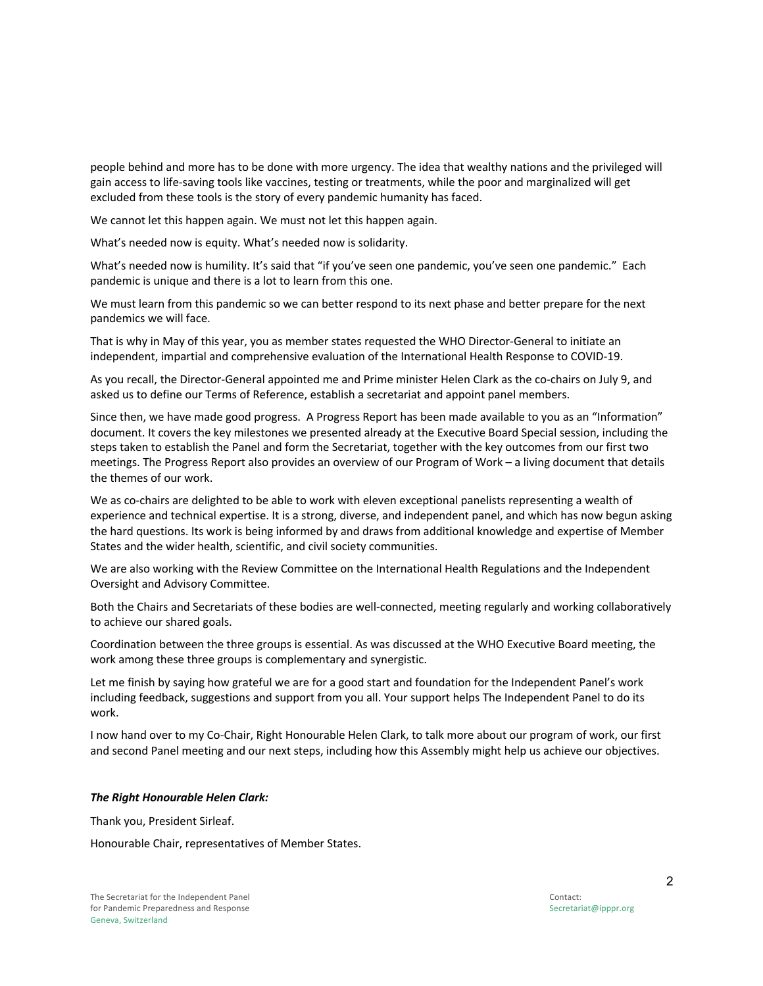people behind and more has to be done with more urgency. The idea that wealthy nations and the privileged will gain access to life-saving tools like vaccines, testing or treatments, while the poor and marginalized will get excluded from these tools is the story of every pandemic humanity has faced.

We cannot let this happen again. We must not let this happen again.

What's needed now is equity. What's needed now is solidarity.

What's needed now is humility. It's said that "if you've seen one pandemic, you've seen one pandemic." Each pandemic is unique and there is a lot to learn from this one.

We must learn from this pandemic so we can better respond to its next phase and better prepare for the next pandemics we will face.

That is why in May of this year, you as member states requested the WHO Director-General to initiate an independent, impartial and comprehensive evaluation of the International Health Response to COVID-19.

As you recall, the Director-General appointed me and Prime minister Helen Clark as the co-chairs on July 9, and asked us to define our Terms of Reference, establish a secretariat and appoint panel members.

Since then, we have made good progress. A Progress Report has been made available to you as an "Information" document. It covers the key milestones we presented already at the Executive Board Special session, including the steps taken to establish the Panel and form the Secretariat, together with the key outcomes from our first two meetings. The Progress Report also provides an overview of our Program of Work – a living document that details the themes of our work.

We as co-chairs are delighted to be able to work with eleven exceptional panelists representing a wealth of experience and technical expertise. It is a strong, diverse, and independent panel, and which has now begun asking the hard questions. Its work is being informed by and draws from additional knowledge and expertise of Member States and the wider health, scientific, and civil society communities.

We are also working with the Review Committee on the International Health Regulations and the Independent Oversight and Advisory Committee.

Both the Chairs and Secretariats of these bodies are well-connected, meeting regularly and working collaboratively to achieve our shared goals.

Coordination between the three groups is essential. As was discussed at the WHO Executive Board meeting, the work among these three groups is complementary and synergistic.

Let me finish by saying how grateful we are for a good start and foundation for the Independent Panel's work including feedback, suggestions and support from you all. Your support helps The Independent Panel to do its work.

I now hand over to my Co-Chair, Right Honourable Helen Clark, to talk more about our program of work, our first and second Panel meeting and our next steps, including how this Assembly might help us achieve our objectives.

## *The Right Honourable Helen Clark:*

Thank you, President Sirleaf.

Honourable Chair, representatives of Member States.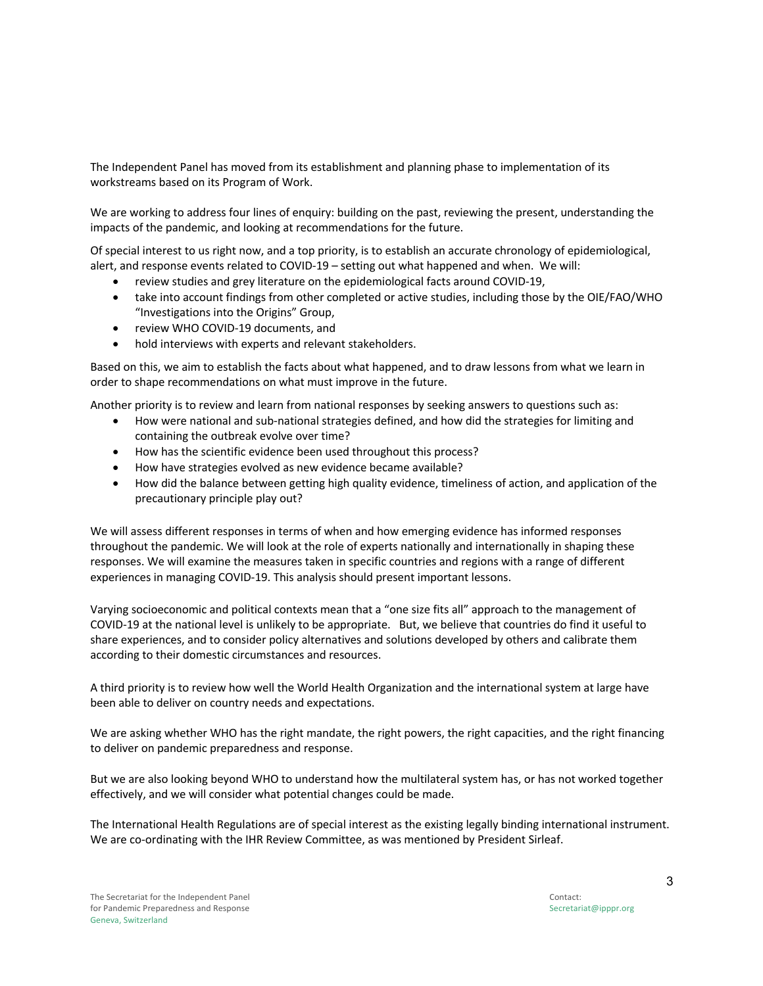The Independent Panel has moved from its establishment and planning phase to implementation of its workstreams based on its Program of Work.

We are working to address four lines of enquiry: building on the past, reviewing the present, understanding the impacts of the pandemic, and looking at recommendations for the future.

Of special interest to us right now, and a top priority, is to establish an accurate chronology of epidemiological, alert, and response events related to COVID-19 – setting out what happened and when. We will:

- review studies and grey literature on the epidemiological facts around COVID-19,
- take into account findings from other completed or active studies, including those by the OIE/FAO/WHO "Investigations into the Origins" Group,
- review WHO COVID-19 documents, and
- hold interviews with experts and relevant stakeholders.

Based on this, we aim to establish the facts about what happened, and to draw lessons from what we learn in order to shape recommendations on what must improve in the future.

Another priority is to review and learn from national responses by seeking answers to questions such as:

- How were national and sub-national strategies defined, and how did the strategies for limiting and containing the outbreak evolve over time?
- How has the scientific evidence been used throughout this process?
- How have strategies evolved as new evidence became available?
- How did the balance between getting high quality evidence, timeliness of action, and application of the precautionary principle play out?

We will assess different responses in terms of when and how emerging evidence has informed responses throughout the pandemic. We will look at the role of experts nationally and internationally in shaping these responses. We will examine the measures taken in specific countries and regions with a range of different experiences in managing COVID-19. This analysis should present important lessons.

Varying socioeconomic and political contexts mean that a "one size fits all" approach to the management of COVID-19 at the national level is unlikely to be appropriate. But, we believe that countries do find it useful to share experiences, and to consider policy alternatives and solutions developed by others and calibrate them according to their domestic circumstances and resources.

A third priority is to review how well the World Health Organization and the international system at large have been able to deliver on country needs and expectations.

We are asking whether WHO has the right mandate, the right powers, the right capacities, and the right financing to deliver on pandemic preparedness and response.

But we are also looking beyond WHO to understand how the multilateral system has, or has not worked together effectively, and we will consider what potential changes could be made.

The International Health Regulations are of special interest as the existing legally binding international instrument. We are co-ordinating with the IHR Review Committee, as was mentioned by President Sirleaf.